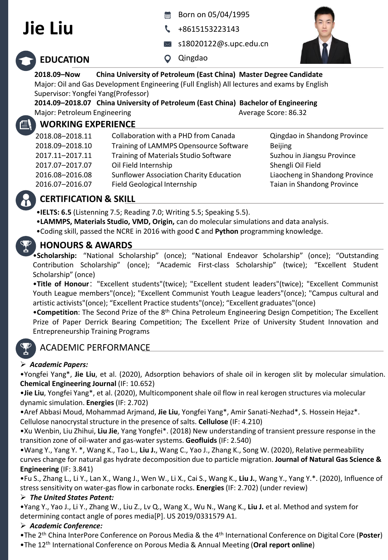# **Jie Liu**

- Born on 05/04/1995
- +8615153223143
- s18020122@s.upc.edu.cn



# **EDUCATION**

Qingdao

#### **2018.09–Now China University of Petroleum (East China) Master Degree Candidate** Major: Oil and Gas Development Engineering (Full English) All lectures and exams by English Supervisor: Yongfei Yang(Professor)

**2014.09–2018.07 China University of Petroleum (East China) Bachelor of Engineering** Major: Petroleum Engineering Average Score: 86.32

# **WORKING EXPERIENCE**

| 2018.08-2018.11 | Collaboration with a PHD from Canada           | Qingdao in Shandong Province   |
|-----------------|------------------------------------------------|--------------------------------|
| 2018.09-2018.10 | Training of LAMMPS Opensource Software         | <b>Beijing</b>                 |
| 2017.11-2017.11 | Training of Materials Studio Software          | Suzhou in Jiangsu Province     |
| 2017.07-2017.07 | Oil Field Internship                           | Shengli Oil Field              |
| 2016.08-2016.08 | <b>Sunflower Association Charity Education</b> | Liaocheng in Shandong Province |
| 2016.07-2016.07 | Field Geological Internship                    | Taian in Shandong Province     |

# **CERTIFICATION & SKILL**

•**IELTS: 6.5** (Listenning 7.5; Reading 7.0; Writing 5.5; Speaking 5.5).

- •**LAMMPS, Materials Studio, VMD, Origin,** can do molecular simulations and data analysis.
- •Coding skill, passed the NCRE in 2016 with good **C** and **Python** programming knowledge.

# **HONOURS & AWARDS**

•**Scholarship:** "National Scholarship" (once); "National Endeavor Scholarship" (once); "Outstanding Contribution Scholarship" (once); "Academic First-class Scholarship" (twice); "Excellent Student Scholarship" (once)

•**Title of Honour**:"Excellent students"(twice); "Excellent student leaders"(twice); "Excellent Communist Youth League members"(once); "Excellent Communist Youth League leaders"(once); "Campus cultural and artistic activists"(once); "Excellent Practice students"(once); "Excellent graduates"(once)

**•Competition**: The Second Prize of the 8<sup>th</sup> China Petroleum Engineering Design Competition; The Excellent Prize of Paper Derrick Bearing Competition; The Excellent Prize of University Student Innovation and Entrepreneurship Training Programs

# ACADEMIC PERFORMANCE

### ➢ *Academic Papers:*

•Yongfei Yang\*, **Jie Liu**, et al. (2020), Adsorption behaviors of shale oil in kerogen slit by molecular simulation. **Chemical Engineering Journal** (IF: 10.652)

•**Jie Liu**, Yongfei Yang\*, et al. (2020), Multicomponent shale oil flow in real kerogen structures via molecular dynamic simulation. **Energies** (IF: 2.702)

•Aref Abbasi Moud, Mohammad Arjmand, **Jie Liu**, Yongfei Yang\*, Amir Sanati-Nezhad\*, S. Hossein Hejaz\*. Cellulose nanocrystal structure in the presence of salts. **Cellulose** (IF: 4.210)

•Xu Wenbin, Liu Zhihui, **Liu Jie**, Yang Yongfei\*. (2018) New understanding of transient pressure response in the transition zone of oil-water and gas-water systems. **Geofluids** (IF: 2.540)

•Wang Y., Yang Y. \*, Wang K., Tao L., **Liu J.**, Wang C., Yao J., Zhang K., Song W. (2020), Relative permeability curves change for natural gas hydrate decomposition due to particle migration. **Journal of Natural Gas Science & Engineering** (IF: 3.841)

•Fu S., Zhang L., Li Y., Lan X., Wang J., Wen W., Li X., Cai S., Wang K., **Liu J.**, Wang Y., Yang Y.\*. (2020), Influence of stress sensitivity on water-gas flow in carbonate rocks. **Energies** (IF: 2.702) (under review)

### ➢ *The United States Patent:*

•Yang Y., Yao J., Li Y., Zhang W., Liu Z., Lv Q., Wang X., Wu N., Wang K., **Liu J.** et al. Method and system for determining contact angle of pores media[P]. US 2019/0331579 A1.

## ➢ *Academic Conference:*

•The 2 th China InterPore Conference on Porous Media & the 4th International Conference on Digital Core (**Poster**)

•The 12th International Conference on Porous Media & Annual Meeting (**Oral report online**)